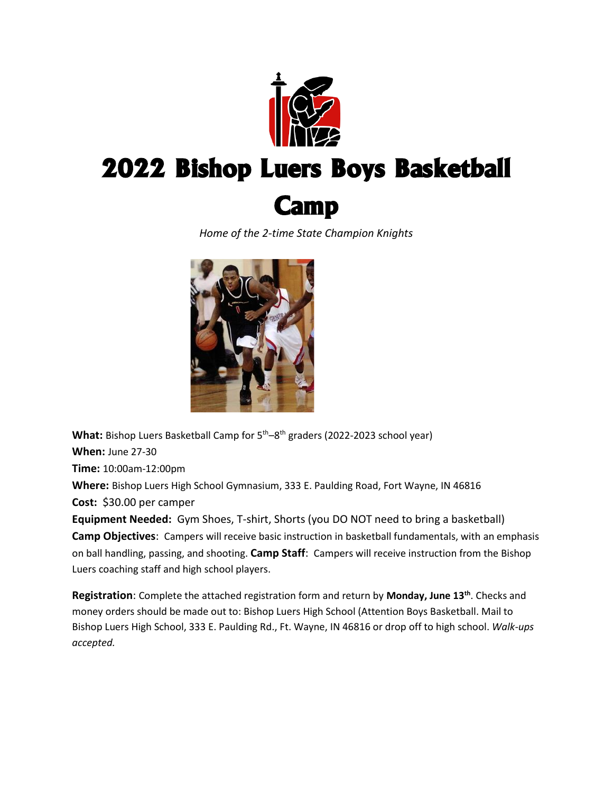

# 2022 Bishop Luers Boys Basketball



*Home of the 2-time State Champion Knights*



**What:** Bishop Luers Basketball Camp for 5<sup>th</sup>–8<sup>th</sup> graders (2022-2023 school year) **When:** June 27-30

**Time:** 10:00am-12:00pm

**Where:** Bishop Luers High School Gymnasium, 333 E. Paulding Road, Fort Wayne, IN 46816 **Cost:** \$30.00 per camper

**Equipment Needed:** Gym Shoes, T-shirt, Shorts (you DO NOT need to bring a basketball) **Camp Objectives**: Campers will receive basic instruction in basketball fundamentals, with an emphasis on ball handling, passing, and shooting. **Camp Staff**: Campers will receive instruction from the Bishop Luers coaching staff and high school players.

**Registration**: Complete the attached registration form and return by **Monday, June 13th**. Checks and money orders should be made out to: Bishop Luers High School (Attention Boys Basketball. Mail to Bishop Luers High School, 333 E. Paulding Rd., Ft. Wayne, IN 46816 or drop off to high school. *Walk-ups accepted.*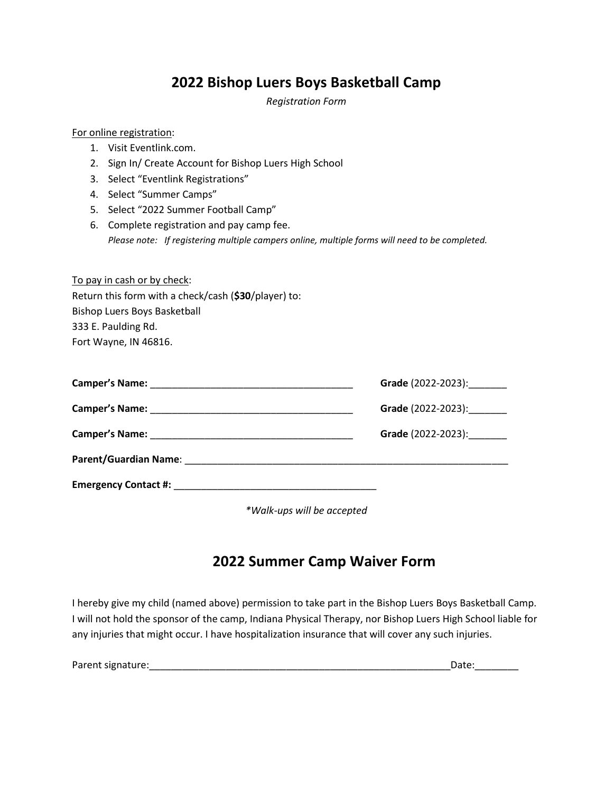### **2022 Bishop Luers Boys Basketball Camp**

*Registration Form*

#### For online registration:

- 1. Visit Eventlink.com.
- 2. Sign In/ Create Account for Bishop Luers High School
- 3. Select "Eventlink Registrations"
- 4. Select "Summer Camps"
- 5. Select "2022 Summer Football Camp"
- 6. Complete registration and pay camp fee. *Please note: If registering multiple campers online, multiple forms will need to be completed.*

To pay in cash or by check: Return this form with a check/cash (**\$30**/player) to: Bishop Luers Boys Basketball 333 E. Paulding Rd. Fort Wayne, IN 46816.

| <b>Camper's Name:</b><br>the control of the control of the control of the control of the control of the control of the control of the control of the control of the control of the control of the control of the control of the control of the control | <b>Grade</b> (2022-2023): |  |
|--------------------------------------------------------------------------------------------------------------------------------------------------------------------------------------------------------------------------------------------------------|---------------------------|--|
|                                                                                                                                                                                                                                                        | Grade (2022-2023):        |  |
|                                                                                                                                                                                                                                                        | Grade (2022-2023):        |  |
|                                                                                                                                                                                                                                                        |                           |  |
| <b>Emergency Contact #:</b> The contact of the contact of the contact of the contact of the contact of the contact of the contact of the contact of the contact of the contact of the contact of the contact of the contact of the                     |                           |  |

*\*Walk-ups will be accepted*

### **2022 Summer Camp Waiver Form**

I hereby give my child (named above) permission to take part in the Bishop Luers Boys Basketball Camp. I will not hold the sponsor of the camp, Indiana Physical Therapy, nor Bishop Luers High School liable for any injuries that might occur. I have hospitalization insurance that will cover any such injuries.

| Parent signature: |  |
|-------------------|--|
|                   |  |